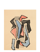